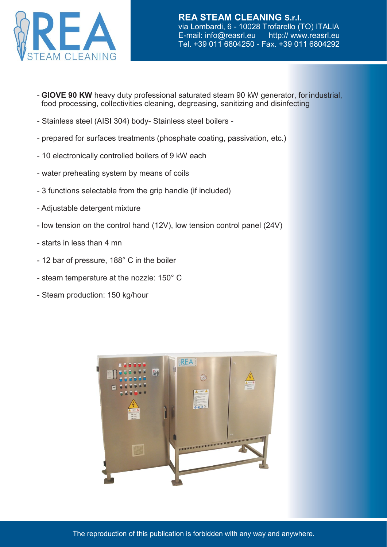

- **GIOVE 90 KW** heavy duty professional saturated steam 90 kW generator, forindustrial, food processing, collectivities cleaning, degreasing, sanitizing and disinfecting
- Stainless steel (AISI 304) body- Stainless steel boilers -
- prepared for surfaces treatments (phosphate coating, passivation, etc.)
- 10 electronically controlled boilers of 9 kW each
- water preheating system by means of coils
- 3 functions selectable from the grip handle (if included)
- Adjustable detergent mixture
- low tension on the control hand (12V), low tension control panel (24V)
- starts in less than 4 mn
- 12 bar of pressure, 188° C in the boiler
- steam temperature at the nozzle: 150° C
- Steam production: 150 kg/hour